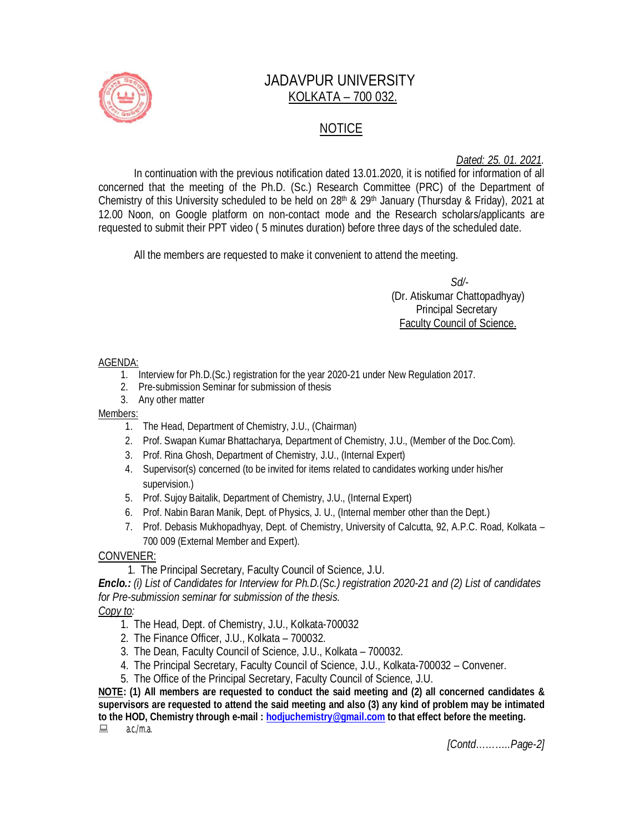

# JADAVPUR UNIVERSITY KOLKATA – 700 032.

# NOTICE

*Dated: 25. 01. 2021.*

In continuation with the previous notification dated 13.01.2020, it is notified for information of all concerned that the meeting of the Ph.D. (Sc.) Research Committee (PRC) of the Department of Chemistry of this University scheduled to be held on 28th & 29th January (Thursday & Friday), 2021 at 12.00 Noon, on Google platform on non-contact mode and the Research scholars/applicants are requested to submit their PPT video ( 5 minutes duration) before three days of the scheduled date.

All the members are requested to make it convenient to attend the meeting.

 *Sd/-*  (Dr. Atiskumar Chattopadhyay) Principal Secretary Faculty Council of Science.

#### AGENDA:

- 1. Interview for Ph.D.(Sc.) registration for the year 2020-21 under New Regulation 2017.
- 2. Pre-submission Seminar for submission of thesis
- 3. Any other matter

### Members:

- 1. The Head, Department of Chemistry, J.U., (Chairman)
- 2. Prof. Swapan Kumar Bhattacharya, Department of Chemistry, J.U., (Member of the Doc.Com).
- 3. Prof. Rina Ghosh, Department of Chemistry, J.U., (Internal Expert)
- 4. Supervisor(s) concerned (to be invited for items related to candidates working under his/her supervision.)
- 5. Prof. Sujoy Baitalik, Department of Chemistry, J.U., (Internal Expert)
- 6. Prof. Nabin Baran Manik, Dept. of Physics, J. U., (Internal member other than the Dept.)
- 7. Prof. Debasis Mukhopadhyay, Dept. of Chemistry, University of Calcutta, 92, A.P.C. Road, Kolkata 700 009 (External Member and Expert).

## CONVENER:

1. The Principal Secretary, Faculty Council of Science, J.U.

*Enclo.: (i) List of Candidates for Interview for Ph.D.(Sc.) registration 2020-21 and (2) List of candidates for Pre-submission seminar for submission of the thesis.*

## *Copy to:*

- 1. The Head, Dept. of Chemistry, J.U., Kolkata-700032
- 2. The Finance Officer, J.U., Kolkata 700032.
- 3. The Dean, Faculty Council of Science, J.U., Kolkata 700032.
- 4. The Principal Secretary, Faculty Council of Science, J.U., Kolkata-700032 Convener.
- 5. The Office of the Principal Secretary, Faculty Council of Science, J.U.

**NOTE: (1) All members are requested to conduct the said meeting and (2) all concerned candidates & supervisors are requested to attend the said meeting and also (3) any kind of problem may be intimated to the HOD, Chemistry through e-mail : hodjuchemistry@gmail.com to that effect before the meeting.**  $a.c./m.a.$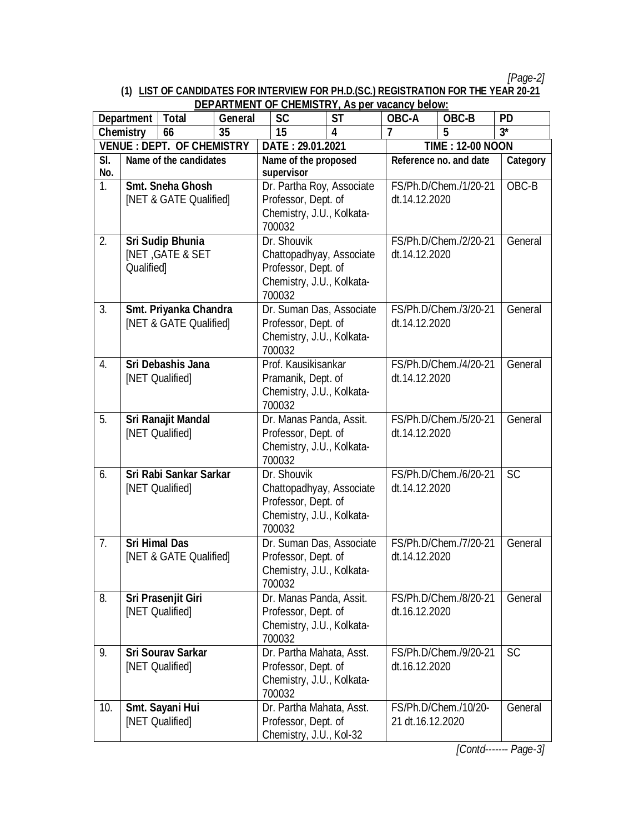*[Page-2]*

#### **(1) LIST OF CANDIDATES FOR INTERVIEW FOR PH.D.(SC.) REGISTRATION FOR THE YEAR 20-21 DEPARTMENT OF CHEMISTRY, As per vacancy below:**

| <u>DEFARTMENT OF CHEMISTRY, AS DEI VACATICY DEIUW.</u><br>Department   Total<br><b>General</b> |                                                              | <b>SC</b>                             | <b>ST</b>                                                                                             | OBC-A                                                                                                 | OBC-B                                  | <b>PD</b>                              |                       |           |
|------------------------------------------------------------------------------------------------|--------------------------------------------------------------|---------------------------------------|-------------------------------------------------------------------------------------------------------|-------------------------------------------------------------------------------------------------------|----------------------------------------|----------------------------------------|-----------------------|-----------|
|                                                                                                | <b>Chemistry</b>                                             | 66                                    | 35                                                                                                    | 15                                                                                                    | 4                                      | 7                                      | 5                     | $3^*$     |
| <b>VENUE : DEPT. OF CHEMISTRY</b>                                                              |                                                              |                                       | DATE: 29.01.2021                                                                                      |                                                                                                       | <b>TIME: 12-00 NOON</b>                |                                        |                       |           |
| SI.<br>No.                                                                                     | Name of the candidates                                       |                                       |                                                                                                       | Name of the proposed<br>supervisor                                                                    |                                        | Reference no. and date                 |                       | Category  |
| 1.                                                                                             | Smt. Sneha Ghosh<br>[NET & GATE Qualified]                   |                                       |                                                                                                       | Dr. Partha Roy, Associate<br>Professor, Dept. of<br>Chemistry, J.U., Kolkata-<br>700032               |                                        | FS/Ph.D/Chem./1/20-21<br>dt.14.12.2020 |                       | OBC-B     |
| 2.                                                                                             | Sri Sudip Bhunia<br><b>INET, GATE &amp; SET</b><br>Qualified |                                       |                                                                                                       | Dr. Shouvik<br>Chattopadhyay, Associate<br>Professor, Dept. of<br>Chemistry, J.U., Kolkata-<br>700032 |                                        | FS/Ph.D/Chem./2/20-21<br>dt.14.12.2020 |                       | General   |
| 3.                                                                                             | Smt. Priyanka Chandra<br>[NET & GATE Qualified]              |                                       | Dr. Suman Das, Associate<br>Professor, Dept. of<br>Chemistry, J.U., Kolkata-<br>700032                |                                                                                                       |                                        | FS/Ph.D/Chem./3/20-21<br>dt.14.12.2020 |                       |           |
| 4.                                                                                             | <b>Sri Debashis Jana</b><br>[NET Qualified]                  |                                       | Prof. Kausikisankar<br>Pramanik, Dept. of<br>Chemistry, J.U., Kolkata-<br>700032                      |                                                                                                       | FS/Ph.D/Chem./4/20-21<br>dt.14.12.2020 |                                        | General               |           |
| 5.                                                                                             | Sri Ranajit Mandal<br>[NET Qualified]                        |                                       |                                                                                                       | Dr. Manas Panda, Assit.<br>Professor, Dept. of<br>Chemistry, J.U., Kolkata-<br>700032                 |                                        | FS/Ph.D/Chem./5/20-21<br>dt.14.12.2020 |                       | General   |
| 6.                                                                                             | Sri Rabi Sankar Sarkar<br>[NET Qualified]                    |                                       | Dr. Shouvik<br>Chattopadhyay, Associate<br>Professor, Dept. of<br>Chemistry, J.U., Kolkata-<br>700032 |                                                                                                       | FS/Ph.D/Chem./6/20-21<br>dt.14.12.2020 |                                        | <b>SC</b>             |           |
| 7.                                                                                             | <b>Sri Himal Das</b><br>[NET & GATE Qualified]               |                                       | Dr. Suman Das, Associate<br>Professor, Dept. of<br>Chemistry, J.U., Kolkata-<br>700032                |                                                                                                       | FS/Ph.D/Chem./7/20-21<br>dt.14.12.2020 |                                        | General               |           |
| 8.                                                                                             |                                                              | Sri Prasenjit Giri<br>[NET Qualified] |                                                                                                       | Dr. Manas Panda, Assit.<br>Professor, Dept. of<br>Chemistry, J.U., Kolkata-<br>700032                 |                                        | FS/Ph.D/Chem./8/20-21<br>dt.16.12.2020 |                       | General   |
| 9.                                                                                             | [NET Qualified]                                              | <b>Sri Sourav Sarkar</b>              |                                                                                                       | Dr. Partha Mahata, Asst.<br>Professor, Dept. of<br>Chemistry, J.U., Kolkata-<br>700032                |                                        | dt.16.12.2020                          | FS/Ph.D/Chem./9/20-21 | <b>SC</b> |
| 10.                                                                                            |                                                              | Smt. Sayani Hui<br>[NET Qualified]    |                                                                                                       | Dr. Partha Mahata, Asst.<br>Professor, Dept. of<br>Chemistry, J.U., Kol-32                            |                                        | 21 dt.16.12.2020                       | FS/Ph.D/Chem./10/20-  | General   |

*[Contd------- Page-3]*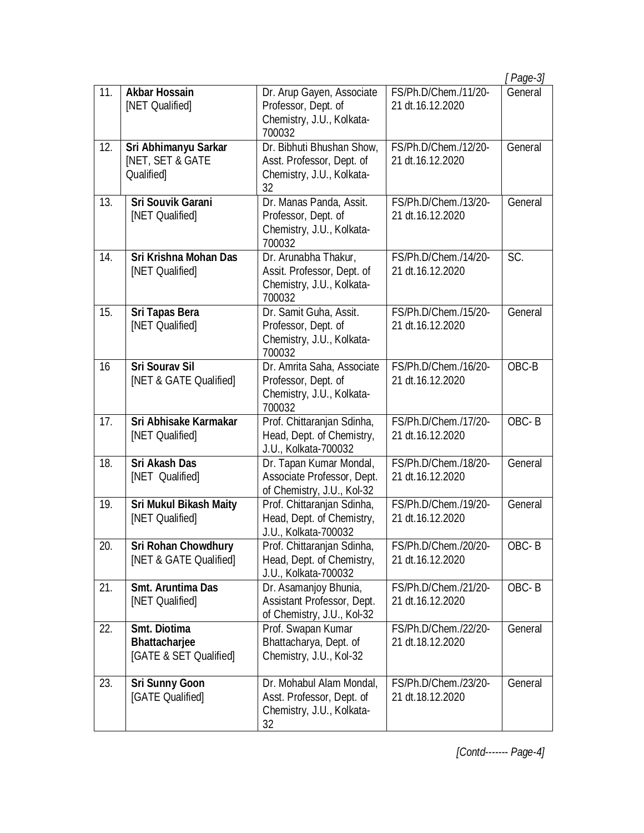|     |                                                                   |                                                                                           |                                           | [ Page-3] |
|-----|-------------------------------------------------------------------|-------------------------------------------------------------------------------------------|-------------------------------------------|-----------|
| 11. | <b>Akbar Hossain</b><br>[NET Qualified]                           | Dr. Arup Gayen, Associate<br>Professor, Dept. of<br>Chemistry, J.U., Kolkata-<br>700032   | FS/Ph.D/Chem./11/20-<br>21 dt.16.12.2020  | General   |
| 12. | Sri Abhimanyu Sarkar<br><b>INET, SET &amp; GATE</b><br>Qualified] | Dr. Bibhuti Bhushan Show,<br>Asst. Professor, Dept. of<br>Chemistry, J.U., Kolkata-<br>32 | FS/Ph.D/Chem./12/20-<br>21 dt. 16.12.2020 | General   |
| 13. | <b>Sri Souvik Garani</b><br>[NET Qualified]                       | Dr. Manas Panda, Assit.<br>Professor, Dept. of<br>Chemistry, J.U., Kolkata-<br>700032     | FS/Ph.D/Chem./13/20-<br>21 dt.16.12.2020  | General   |
| 14. | Sri Krishna Mohan Das<br>[NET Qualified]                          | Dr. Arunabha Thakur,<br>Assit. Professor, Dept. of<br>Chemistry, J.U., Kolkata-<br>700032 | FS/Ph.D/Chem./14/20-<br>21 dt.16.12.2020  | SC.       |
| 15. | Sri Tapas Bera<br>[NET Qualified]                                 | Dr. Samit Guha, Assit.<br>Professor, Dept. of<br>Chemistry, J.U., Kolkata-<br>700032      | FS/Ph.D/Chem./15/20-<br>21 dt.16.12.2020  | General   |
| 16  | <b>Sri Sourav Sil</b><br>[NET & GATE Qualified]                   | Dr. Amrita Saha, Associate<br>Professor, Dept. of<br>Chemistry, J.U., Kolkata-<br>700032  | FS/Ph.D/Chem./16/20-<br>21 dt.16.12.2020  | OBC-B     |
| 17. | Sri Abhisake Karmakar<br>[NET Qualified]                          | Prof. Chittaranjan Sdinha,<br>Head, Dept. of Chemistry,<br>J.U., Kolkata-700032           | FS/Ph.D/Chem./17/20-<br>21 dt.16.12.2020  | OBC-B     |
| 18. | <b>Sri Akash Das</b><br>[NET Qualified]                           | Dr. Tapan Kumar Mondal,<br>Associate Professor, Dept.<br>of Chemistry, J.U., Kol-32       | FS/Ph.D/Chem./18/20-<br>21 dt.16.12.2020  | General   |
| 19. | <b>Sri Mukul Bikash Maity</b><br>[NET Qualified]                  | Prof. Chittaranjan Sdinha,<br>Head, Dept. of Chemistry,<br>J.U., Kolkata-700032           | FS/Ph.D/Chem./19/20-<br>21 dt.16.12.2020  | General   |
| 20. | <b>Sri Rohan Chowdhury</b><br>[NET & GATE Qualified]              | Prof. Chittaranjan Sdinha,<br>Head, Dept. of Chemistry,<br>J.U., Kolkata-700032           | FS/Ph.D/Chem./20/20-<br>21 dt.16.12.2020  | OBC-B     |
| 21. | <b>Smt. Aruntima Das</b><br>[NET Qualified]                       | Dr. Asamanjoy Bhunia,<br>Assistant Professor, Dept.<br>of Chemistry, J.U., Kol-32         | FS/Ph.D/Chem./21/20-<br>21 dt.16.12.2020  | OBC-B     |
| 22. | Smt. Diotima<br><b>Bhattacharjee</b><br>[GATE & SET Qualified]    | Prof. Swapan Kumar<br>Bhattacharya, Dept. of<br>Chemistry, J.U., Kol-32                   | FS/Ph.D/Chem./22/20-<br>21 dt.18.12.2020  | General   |
| 23. | <b>Sri Sunny Goon</b><br>[GATE Qualified]                         | Dr. Mohabul Alam Mondal,<br>Asst. Professor, Dept. of<br>Chemistry, J.U., Kolkata-<br>32  | FS/Ph.D/Chem./23/20-<br>21 dt.18.12.2020  | General   |

*[Contd------- Page-4]*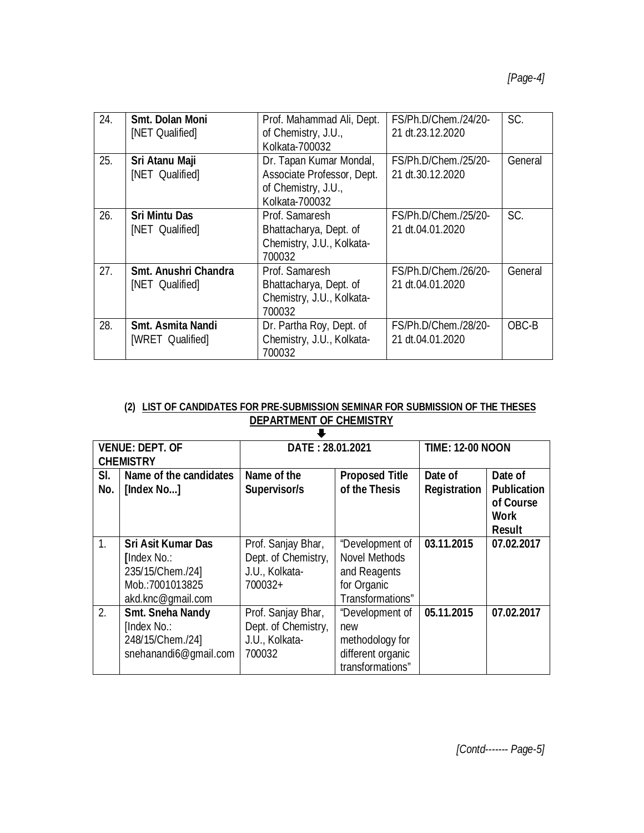| 24. | Smt. Dolan Moni<br>[NET Qualified]           | Prof. Mahammad Ali, Dept.<br>of Chemistry, J.U.,<br>Kolkata-700032                             | FS/Ph.D/Chem./24/20-<br>21 dt.23.12.2020 | SC.     |
|-----|----------------------------------------------|------------------------------------------------------------------------------------------------|------------------------------------------|---------|
| 25. | Sri Atanu Maji<br>[NET Qualified]            | Dr. Tapan Kumar Mondal,<br>Associate Professor, Dept.<br>of Chemistry, J.U.,<br>Kolkata-700032 | FS/Ph.D/Chem./25/20-<br>21 dt.30.12.2020 | General |
| 26. | <b>Sri Mintu Das</b><br>[NET Qualified]      | Prof. Samaresh<br>Bhattacharya, Dept. of<br>Chemistry, J.U., Kolkata-<br>700032                | FS/Ph.D/Chem./25/20-<br>21 dt.04.01.2020 | SC.     |
| 27. | Smt. Anushri Chandra<br>[NET Qualified]      | Prof. Samaresh<br>Bhattacharya, Dept. of<br>Chemistry, J.U., Kolkata-<br>700032                | FS/Ph.D/Chem./26/20-<br>21 dt.04.01.2020 | General |
| 28. | <b>Smt. Asmita Nandi</b><br>[WRET Qualified] | Dr. Partha Roy, Dept. of<br>Chemistry, J.U., Kolkata-<br>700032                                | FS/Ph.D/Chem./28/20-<br>21 dt.04.01.2020 | OBC-B   |

### **(2) LIST OF CANDIDATES FOR PRE-SUBMISSION SEMINAR FOR SUBMISSION OF THE THESES DEPARTMENT OF CHEMISTRY**

| <b>VENUE: DEPT. OF</b><br><b>CHEMISTRY</b> |                                      | DATE: 28.01.2021            |                                        | <b>TIME: 12-00 NOON</b>        |                                                                     |  |
|--------------------------------------------|--------------------------------------|-----------------------------|----------------------------------------|--------------------------------|---------------------------------------------------------------------|--|
| SI.<br>No.                                 | Name of the candidates<br>[Index No] | Name of the<br>Supervisor/s | <b>Proposed Title</b><br>of the Thesis | Date of<br><b>Registration</b> | Date of<br><b>Publication</b><br>of Course<br>Work<br><b>Result</b> |  |
| 1.                                         | <b>Sri Asit Kumar Das</b>            | Prof. Sanjay Bhar,          | "Development of                        | 03.11.2015                     | 07.02.2017                                                          |  |
|                                            | <b>[Index No.:</b>                   | Dept. of Chemistry,         | <b>Novel Methods</b>                   |                                |                                                                     |  |
|                                            | 235/15/Chem./24]                     | J.U., Kolkata-              | and Reagents                           |                                |                                                                     |  |
|                                            | Mob.:7001013825                      | 700032+                     | for Organic                            |                                |                                                                     |  |
|                                            | akd.knc@gmail.com                    |                             | Transformations"                       |                                |                                                                     |  |
| 2.                                         | <b>Smt. Sneha Nandy</b>              | Prof. Sanjay Bhar,          | "Development of                        | 05.11.2015                     | 07.02.2017                                                          |  |
|                                            | [Index No.:                          | Dept. of Chemistry,         | new                                    |                                |                                                                     |  |
|                                            | 248/15/Chem./24]                     | J.U., Kolkata-              | methodology for                        |                                |                                                                     |  |
|                                            | snehanandi6@qmail.com                | 700032                      | different organic                      |                                |                                                                     |  |
|                                            |                                      |                             | transformations"                       |                                |                                                                     |  |